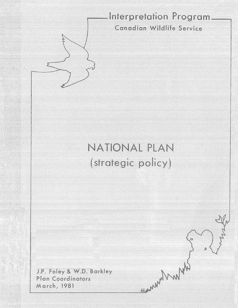# **\_\_\_\_ Interpretation Progress**

nadian wildlife bervic(

Why My My

# (strategic policy) NATIONAL PLAN

J.P. Foley & W.D. Barkley **Plan Coordinators** March, 1981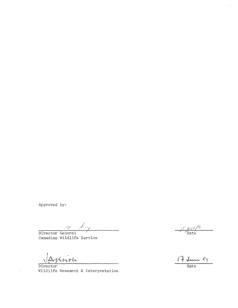Approved by:

*\_(/*   $\overline{\phantom{a}}$ Director General

Canadian Wildlife Service

Akrith

À

Director<br>Wildlife Research & Interpretation

 $\mathcal{E}$   $\mu\mu$ Date

17 dans 81 Date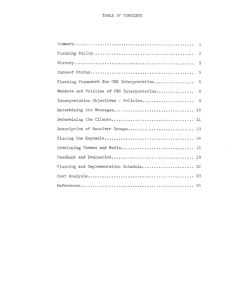|                                            | $\overline{2}$ |
|--------------------------------------------|----------------|
|                                            | 3              |
|                                            | 5              |
| Planning Framework for CWS Interpretation  | 6              |
| Mandate and Policies of CWS Interpretation | 8 <sup>8</sup> |
| Interpretation Objectives - Policies       | - 9            |
|                                            |                |
|                                            |                |
| Description of Receiver Groups 13          |                |
|                                            |                |
| Developing Themes and Media 15             |                |
| Feedback and Evaluation 19                 |                |
| Planning and Implementation Schedule 22    |                |
|                                            |                |
|                                            |                |

 $\mathcal{L}$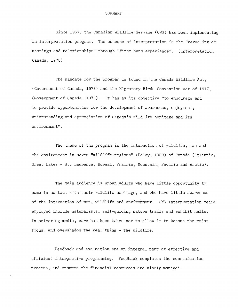Since 1967, the Canadian Wildlife Service (CWS) has been implementing an interpretation program. The essence of interpretation is the "revealing of meanings and relationships" through "first hand experience". (Interpretation Canada, 1978)

The mandate for the program is found in the Canada Wildlife Act, (Government of Canada, 1973) and the Migratory Birds Convention Act of 1917, (Government of Canada, 1978). It has as its objective "to encourage and to provide opportunities for the development of awareness, enjoyment, understanding and appreciation of Canada's Wildlife heritage and its environment".

The theme of the program is the interaction of wildlife, man and the environment in seven "wildlife regions" (Foley, 1980) of Canada (Atlantic, Great Lakes - St. Lawrence, Boreal, Prairie, Mountain, Pacific and Arctic).

The main audience is urban adults who have little opportunity to come in contact with their wildlife heritage, and who have little awareness of the interaction of man, wildlife and environment. CWS Interpretation media employed include naturalists, self-guiding nature trails and exhibit halls. In selecting media, care has been taken not to allow it to become the major focus, and overshadow the real thing - the wildlife.

Feedback and evaluation are an integral part of effective and efficient interpretive programming. Feedback completes the communication process, and ensures the financial resources are wisely managed.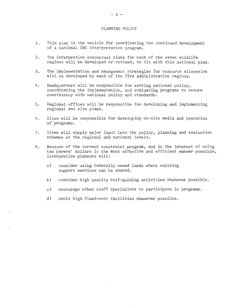#### PLANNING POLICY

- 1. This plan is the vehicle for coordinating the continued development of a national CWS interpretation program.
- 2. The interpretive conceptual plans for each of the seven wildlife regions will be developed or revised, to fit with this national plan.
- 3. The implementation and management strategies for resource allocation will be developed by each of the five administrative regions.
- 4. Headquarters will be responsible for setting national policy, coordinating the implementation, and evaluating programs to ensure consistency with national policy and standards.
- 5. Regional offices will be responsible for developing and implementing regional and site plans.
- 6. Sites will be responsible for developing on-site media and operation of programs.
- 7. Sites will supply major input into the policy, planning and evaluation schemes at the regional and national levels.
- 8. Because of the current constraint program, and in the interest of using tax payers' dollars in the most effective and efficient manner possible, interpretive planners will:
	- a) consider using federally owned lands where existing support services can be shared.
	- b) consider high quality self-guiding activities whenever possible.
	- c) encourage other staff specialists to participate in programs.
	- d) avoid high fixed-cost facilities whenever possible.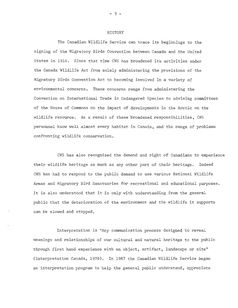#### HISTORY

The Canadian Wildlife Service can trace its beginnings to the signing of the Migratory Birds Convention between Canada and the United States in 1916. Since that time CWS has broadened its activities under the Canada Wildlife Act from solely administering the provisions of the Migratory Birds Convention Act to becoming involved in a variety of environmental concerns. These concerns range from administering the Convention on International Trade in Endangered Species to advising committees of the House of Commons on the impact of developments in the Arctic on the wildlife resource. As a result of these broadened responsibilities, CWS personnel know well almost every habitat in Canada, and the range of problems confronting wildlife conservation.

CWS has also recognized the demand and right of Canadians to experience their wildlife heritage as much as any other part of their heritage. Indeed CWS has had to respond to the public demand to use various National Wildlife Areas and Migratory Bird Sanctuaries for recreational and educational purposes, It is also understood that it is only with understanding from the general public that the deterioration of the environment and the wildlife it supports can be slowed and stopped.

Interpretation is "Any communication process designed to reveal meanings and relationships of our cultural and natural heritage to the public through first hand experience with an object, artifact, landscape or site" (Interpretation Canada, 1978). In 1967 the Canadian Wildlife Service began an interpretation program to help the general public understand, appreciate

- 3 -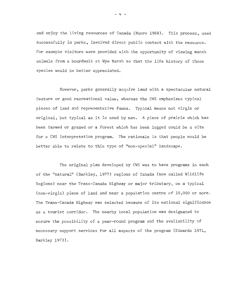and enjoy the living resources of Canada (Munro 1968). This process, used successfully in parks, involved direct public contact with the resource. For example visitors were provided with the opportunity of viewing marsh animals from a boardwalk at Wye Marsh so that the history of those species would be better appreciated,

However, parks generally acquire land with a spectacular natural feature or good recreational value, whereas the CWS emphasizes typical pieces of land and representative fauna. Typical means not virgin or original, but typical as it is used by man. A piece of prairie which has been farmed or grazed or a forest which has been logged could be a site for a CWS interpretation program. The rationale is that people would be better able to relate to this type of "non-special" landscape.

The original plan developed by CWS was to have programs in each of the "natural" (Barkley, 1977) regions of Canada (now called Wildlife Regions) near the Trans-Canada Highway or major tributary, on a typical (non-virgin) piece of land and near a population centre of 10,000 or more. The Trans-Canada Highway was selected because of its national significance as a tourist corridor. The nearby local population was designated to ensure the possibility of a year-round program and the availability of necessary support services for all aspects of the program (Edwards 1971, Barkley 1973).

 $- 4 -$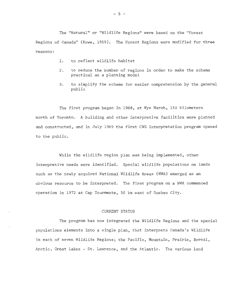The "Natural" or "Wildlife Regions" were based on the "Forest Regions of Canada" (Rowe, 1959). The Forest Regions were modified for three reasons:

- 1. to reflect wildlife habitat
- 2. to reduce the number of regions in order to make the scheme practical as a planning model
- 3. to simplify the scheme for easier comprehension by the general public

The first program began in 1968, at Wye Marsh, 150 kilometers north of Toronto. A building and other interpretive facilities were planned and constructed, and in July 1969 the first CWS interpretation program opened to the public.

While the wildlife region plan was being implemented, other interpretive needs were identified. Special wildlife populations on lands such as the newly acquired National Wildlife Areas (NWA) emerged as an obvious resource to be interpreted. The first program on a NWA commenced operation in 1972 at Cap Tourmente, 50 km east of Quebec City.

#### CURRENT STATUS

The program has now integrated the Wildlife Regions and the special populations elements into a single plan, that interprets Canada's Wildlife in each of seven Wildlife Regions; the Pacific, Mountain, Prairie, Boreal, Arctic, Great Lakes - St. Lawrence, and the Atlantic. The various land

 $-5 -$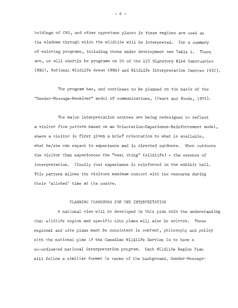holdings of CWS, and other opportune places in these regions are used as the windows through which the wildlife will be interpreted. For a summary of existing programs, including those under development see Table 1. There are, or will shortly be programs on 20 of the 125 Migratory Bird Sanctuaries (MBS), National Wildlife Areas (NWA) and Wildlife Interpretation Centres (WIC).

The program has, and continues to be planned on the basis of the "Sender-Message-Receiver" model of communications, (Peart and Woods, 1975),

The major interpretation centres are being redesigned to reflect a visitor flow pattern based on an Orientation-Experience-Reinforcement model, where a visitor is first given a brief orientation to what is available, what he/she can expect to experience and is directed outdoors. When outdoors the visitor then experiences the "real thing" (wildlife) - the essence of interpretation. Finally that experience is reinforced in the exhibit hall. This pattern allows the visitors maximum contact with the resource during their 'alloted' time at the centre,

#### PLANNING FRAMEWORK FOR CWS INTERPRETATION

A national view will be developed in this plan with the understanding that wildlife region and specific site plans will also be written. These regional and site plans must be consistent in content, philosophy and policy with the national plan if the Canadian Wildlife Service is to have a co-ordinated national interpretation program, Each Wildlife Region Plan will follow a similiar format in terms of the background, Sender-Message-

 $- 6 -$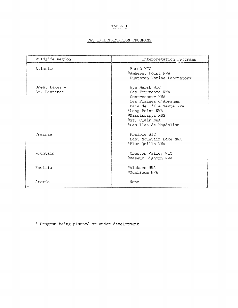## TABLE l

### CWS INTERPRETATION PROGRAMS

| Wildlife Region               | Interpretation Programs                                                                                                                                                                      |  |  |  |  |  |  |  |
|-------------------------------|----------------------------------------------------------------------------------------------------------------------------------------------------------------------------------------------|--|--|--|--|--|--|--|
| Atlantic                      | Percé WIC<br>*Amherst Point NWA<br>Huntsman Marine Laboratory                                                                                                                                |  |  |  |  |  |  |  |
| Great Lakes -<br>St. Lawrence | Wye Marsh WIC<br>Cap Tourmente NWA<br>Contrecoeur NWA<br>Les Plaines d'Abraham<br>Baie de l'Ile Verte NWA<br>*Long Point NWA<br>*Mississippi MBS<br>*St. Clair NWA<br>*Les Iles de Magdalian |  |  |  |  |  |  |  |
| Prairie                       | Prairie WTC<br>Last Mountain Lake NWA<br><i><b>*Blue Quills NWA</b></i>                                                                                                                      |  |  |  |  |  |  |  |
| Mountain                      | Creston Valley WIC<br>*Vaseux Bighorn NWA                                                                                                                                                    |  |  |  |  |  |  |  |
| Pacific                       | *Alaksen NWA<br>*Qualicum NWA                                                                                                                                                                |  |  |  |  |  |  |  |
| Arctic                        | None                                                                                                                                                                                         |  |  |  |  |  |  |  |

:': Program being planned or under development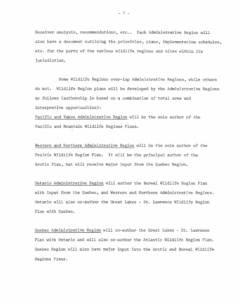Receiver analysis, recommendations, etc.. Each Administrative Region will also have a document outlining the priorities, plans, implementation schedules, etc. for the parts of the various wildlife regions and sites within its jurisdiction.

Some Wildlife Regions over-lap Administrative Regions, while others do not. Wildlife Region plans will be developed by the Administrative Regions as follows (authorship is based on a combination of total area and interpretive opportunities):

Pacific and Yukon Administrative Region will be the sole author of the Pacific and Mountain Wildlife Regions Plans.

Western and Northern Administrative Region will be the sole author of the Prairie Wildlife Region Plan. It will be the principal author of the Arctic Plan, but will receive major input from the Quebec Region.

Ontario Administrative Region will author the Boreal Wildlife Region Plan with input from the Quebec, and Western and Northern Administrative Regions. Ontario will also co-author the Great Lakes - St, Lawrence Wildlife Region Plan with Quebec.

Quebec Administrative Region will co-author the Great Lakes - St. Lawrence Plan with Ontario and will also co-author the Atlantic Wildlife Region Plan. Quebec Region will also have major input into the Arctic and Boreal Wildlife Regions Plans.

 $- 7 -$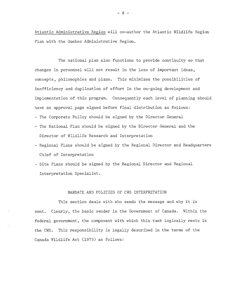Atlantic Administrative Region will co-author the Atlantic Wildlife Region Plan with the Quebec Administrative Region.

The national plan also functions to provide continuity so that changes in personnel will not result in the loss of important ideas, concepts, philosophies and plans. This minimizes the possibilities of inefficiency and duplication of effort in the on-going development and implementation of this program. Consequently each level of planning should have an approval page signed before final distribution as follows: - The Corporate Policy should be signed by the Director General

- The National Plan should be signed by the Director General and the Director of Wildlife Research and Interpretation
- Regional Plans should be signed by the Regional Director and Headquarters Chief of Interpretation
- Site Plans should be signed by the Regional Director and Regional Interpretation Specialist.

#### MANDATE AND POLICIES OF CWS INTERPRETATION

This section deals with who sends the message and why it is sent. Clearly, the basic sender is the Government of Canada. Within the federal government, the component with which this task logically rests is the CWS. This responsibility is legally described in the terms of the Canada Wildlife Act (1973) as follows: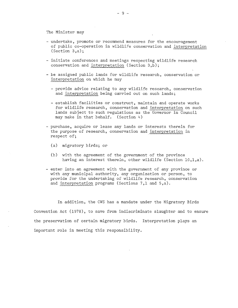The Minister may

- undertake, promote or recommend measures for the encouragement of public co-operation in wildlife conservation and interpretation (Section 3,a);
- initiate conferences and meetings respecting wildlife research conservation and interpretation (Section 3,b);
- be assigned public lands for wildlife research, conservation or interpretation on which he may
	- provide advice relating to any wildlife research, conservation and interpretation being carried out on such lands;
	- establish facilities or construct, maintain and operate works for wildlife research, conservation and interpretation on such lands subject to such regulations as the Governor in Council may make in that behalf. (Section  $4$ )
- purchase, acquire or lease any lands or interests therein for the purpose of research, conservation and interpretation in respect of;
	- (a) migratory birds; or
	- (b) with the agreement of the government of the province having an interest therein, other wildlife (Section 10,l,a).
- enter into an agreement with the government of any province or with any municipal authority, any organization or person, to provide for the undertaking of wildlife research, conservation and interpretation programs (Sections 7,1 and 5,a).

In addition, the CWS has a mandate under the Migratory Birds Convention Act (1978), to save from indiscriminate slaughter and to ensure the preservation of certain migratory birds, Interpretation plays an important role in meeting this responsibility,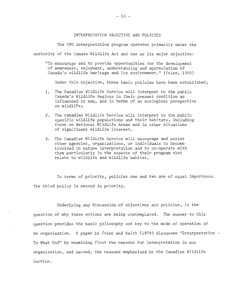#### INTERPRETATION OBJECTIVE AND POLICIES

The CWS interpretation program operates primarily under the authority of the Canada Wildlife Act and has as its major objective:

"To encourage and to provide opportunities for the development of awareness, enjoyment, understanding and appreciation of Canada's wildlife heritage and its environment." (Foley, 1980)

Under this objective, three basic policies have been established;

- 1. The Canadian Wildlife Service will interpret to the public Canada's Wildlife Regions in their present condition as influenced by man, and in terms of an ecological perspective on wildlife;
- 2. The Canadian Wildlife Service will interpret to the public specific wildlife populations and their habitats, including those on National Wildlife Areas and in other situations of significant wildlife interest.
- 3. The Canadian Wildlife Service will encourage and assist other agencies, organizations, or individuals to become involved in nature interpretation and to co-operate with them particularly in the aspects of their program that relate to wildlife and wildlife habitat.

In terms of priority, policies one and two are of equal importance. The third policy is second in priority.

Underlying any discussion of objectives and policies, is the question of why these actions are being contemplated. The answer to this question provides the basic philosophy and key to the mode of operation of an organization. A paper by Foley and Keith (1979) discusses "Interpretation - To What End" by examining first the reasons for interpretation in any organization~ and second, the reasons emphasized by the Canadian Wildlife Service.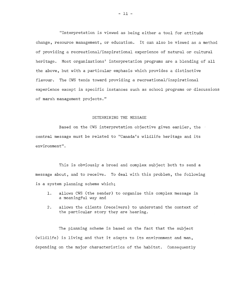"Interpretation is viewed as being either a tool for attitude change, resource management, or education. It can also be viewed as a method of providing a recreational/inspirational experience of natural or cultural heritage. Most organizations' interpretation programs are a blending of all the above, but with a particular emphasis which provides a distinctive flavour. The CWS tends toward providing a recreational/inspirational experience except in specific instances such as school programs or discussions of marsh management projects."

#### DETERMINING THE MESSAGE

Based on the CWS interpretation objective given earlier, the central message must be related to "Canada's wildlife heritage and its environment".

This is obviously a broad and complex subject both to send a message about, and to receive. To deal with this problem, the following is a system planning scheme which;

- 1. allows CWS (the sender) to organize this complex message in a meaningful way and
- 2. allows the clients (receivers) to understand the context of the particular story they are hearing.

The planning scheme is based on the fact that the subject (wildlife) is living and that it adapts to its environment and man, depending on the major characteristics of the habitat, Consequently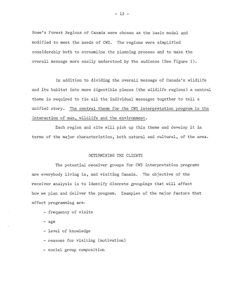Rowe's Forest Regions of Canada were chosen as the basic model and modified to meet the needs of CWS. The regions were simplified considerably both to streamline the planning process and to make the overall message more easily understood by the audience (See Figure I).

In addition to dividing the overall message of Canada's wildlife and its habitat into more digestible pieces (the wildlife regions) a central theme is required to tie all the individual messages together to tell a unified story. The central theme for the CWS interpretation program is the interaction of man, wildlife and the environment.

Each region and site will pick up this theme and develop it in terms of the major characteristics, both natural and cultural, of the area.

#### DETERMINING THE CLIENTS

The potential receiver groups for CWS interpretation programs are everybody living in, and visiting Canada, The objective of the receiver analysis is to identify discrete groupings that will affect how we plan and deliver the program. Examples of the major factors that affect programming are:

- frequency of visits
- age
- level of knowledge
- reasons for visiting (motivation)
- social group composition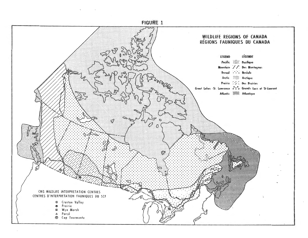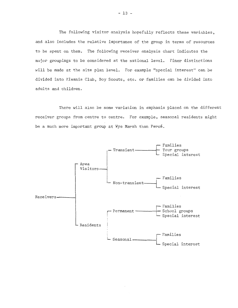The following visitor analysis hopefully reflects these variables, and also includes the relative importance of the group in terms of resources to be spent on them. The following receiver analysis chart indicates the major groupings to be considered at the national level. Finer distinctions will be made at the site plan level. For example "special interest" can be divided into Kiwanis Club, Boy Scouts, etc. or families can be divided into adults and children.

There will also be some variation in emphasis placed on the different receiver groups from centre to centre. For example, seasonal residents might be a much more important group at Wye Marsh than Percé.

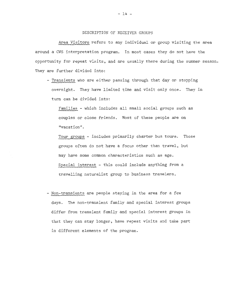#### DESCRIPTION OF RECEIVER GROUPS

Area Visitors refers to any individual or group visiting the area around a CWS interpretation program. In most cases they do not have the opportunity for repeat visits, and are usually there during the summer season. They are further divided into:

- Transients who are either passing through that day or stopping overnight. They have limited time and visit only once. They in turn can be divided into:

Families - which includes all small social groups such as couples or close friends. Most of these people are on "vacation".

Tour groups - includes primarily charter bus tours. Those groups often do not have a focus other than travel, but may have some common characteristics such as age. Special interest - this could include anything from a travelling naturalist group to business travelers.

- Non-transients are people staying in the area for a few days. The non-transient family and special interest groups differ from transient family and special interest groups in that they can stay longer, have repeat visits and take part in different elements of the program.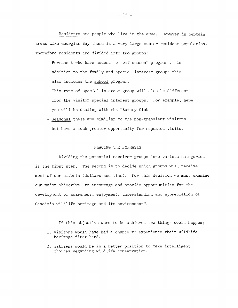Residents are people who live in the area. However in certain areas like Georgian Bay there is a very large summer resident population. Therefore residents are divided into two groups:

- Permanent who have access to "off season" programs. In addition to the family and special interest groups this also includes the school program.
- This type of special interest group will also be different from the visitor special interest groups. For example, here you will be dealing with the "Rotary Club".
- Seasonal these are similiar to the non-transient visitors but have a much greater opportunity for repeated visits.

#### PLACING THE EMPHASIS

Dividing the potential receiver groups into various categories is the first step. The second is to decide which groups will receive most of our efforts (dollars and time). For this decision we must examine our major objective "to encourage and provide opportunities for the development of awareness, enjoyment, understanding and appreciation of Canada's wildlife heritage and its environment".

If this objective were to be achieved two things would happen; 1. visitors would have had a chance to experience their wildlife

- heritage first hand.
- 2. citizens would be in a better position to make intelligent choices regarding wildlife conservation.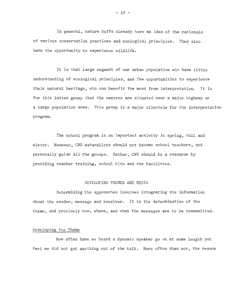In general, nature buffs already have an idea of the rationale of various conservation practices and ecological principles. They also have the opportunity to experience wildlife.

It is that large segment of our urban population who have little understanding of ecological principles, and few opportunities to experience their natural heritage, who can benefit the most from interpretation. It is for this latter group that the centres are situated near a major highway or a large population area. This group is a major clientele for the interpretation program.

The school program is an important activity in spring, fall and winter. However, CWS naturalists should not become school teachers, and personally guide all the groups. Rather, CWS should be a resource by providing teacher training, school kits and the facilities,

#### DEVELOPING THEMES AND MEDIA

Determining the approaches involves integrating the information about the sender, message and receiver, It is the determination of the theme, and precisely how, where, and when the messages are to be transmitted.

#### Developing the Theme

How often have we heard a dynamic speaker go on at some length yet feel we did not get anything out of the talk. More often than not, the reason

 $- 16 -$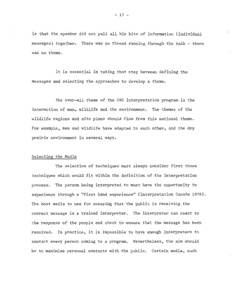is that the speaker did not pull all his bits of information (individual messages) together. There was no thread running through the talk - there was no theme.

It is essential in taking that step between defining the messages and selecting the approaches to develop a theme.

The over-all theme of the CWS interpretation program is the interaction of man, wildlife and the environment, The themes of the wildlife regions and site plans should flow from this national theme. For example, men and wildlife have adapted to each other, and the dry prairie environment in several ways.

#### Selecting the Media

The selection of techniques must always consider first those techniques which would fit within the definition of the interpretation process. The person being interpreted to must have the opportunity to experience through a "first hand experience" (Interpretation Canada 1978). The best media to use for ensuring that the public is receiving the correct message is a trained interpreter. The interpreter can react to the response of the people and check to ensure that the message has been received. In practice, it is impossible to have enough interpreters to contact every person coming to a program. Nevertheless, the aim should be to maximize personal contacts with the public. Certain media, such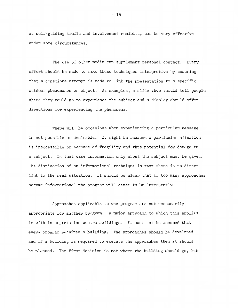as self-guiding trails and involvement exhibits, can be very effective under some circumstances.

The use of other media can supplement personal contact. Every effort should be made to make these techniques interpretive by ensuring that a conscious attempt is made to link the presentation to a specific outdoor phenomenon or object. As examples, a slide show should tell people where they could go to experience the subject and a display should offer directions for experiencing the phenomena.

There will be occasions when experiencing a particular message is not possible or desirable. It might be because a particular situation is inaccessible or because of fragility and thus potential for damage to a subject. In that case information only about the subject must be given. The distinction of an informational technique is that there is no direct link to the real situation. It should be clear that if too many approaches become informational the program will cease to be interpretive.

Approaches applicable to one program are not necessarily appropriate for another program. A major approach to which this applies is with interpretation centre buildings. It must not be assumed that every program requires a building. The approaches should be developed and if a building is required to execute the approaches then it should be planned. The first decision is not where the building should go, but

 $- 18 -$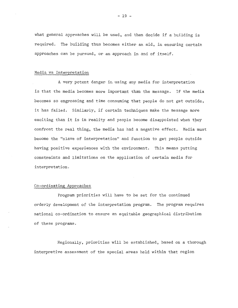what general approaches will be used, and then decide if a building is required. The building thus becomes either an aid, in ensuring certain approaches can be pursued, or an approach in and of itself,

#### Media vs Interpretation

A very potent danger in using any media for interpretation is that the media becomes more important than the message. If the media becomes so engrossing and time consuming that people do not get outside, it has failed. Similarly, if certain techniques make the message more exciting than it is in reality and people become disappointed when they confront the real thing, the media has had a negative effect. Media must become the "slave of interpretation" and function to get people outside having positive experiences with the environment. This means putting constraints and limitations on the application of certain media for interpretation.

#### Co-ordinating Approaches

Program priorities will have to be set for the continued orderly development of the interpretation program. The program requires national co-ordination to ensure an equitable geographical distribution of these programs,

Regionally, priorities will be established, based on a thorough interpretive assessment of the special areas held within that region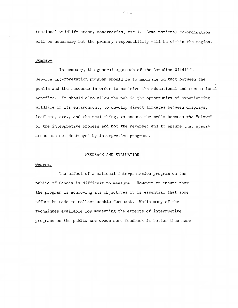(national wildlife areas, sanctuaries, etc.). Some national co-ordination will be necessary but the primary responsibility will be within the region.

#### Summary

In summary, the general approach of the Canadian Wildlife Service interpretation program should be to maximize contact between the public and the resource in order to maximize the educational and recreational benefits. It should also allow the public the opportunity of experiencing wildlife in its environment; to develop direct linkages between displays, leaflets, etc., and the real thing; to ensure the media becomes the "slave" of the interpretive process and not the reverse; and to ensure that special areas are not destroyed by interpretive programs.

#### FEEDBACK AND EVALUATION

#### General

The effect of a national interpretation program on the public of Canada is difficult to measure. However to ensure that the program is achieving its objectives it is essential that some effort be made to collect usable feedback. While many of the techniques available for measuring the effects of interpretive programs on the public are crude some feedback is better than none.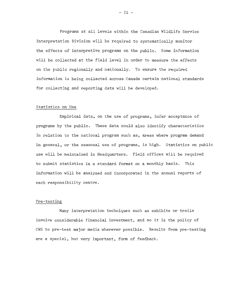Programs at all levels within the Canadian Wildlife Service Interpretation Division will be required to systematically monitor the effects of interpretive programs on the public. Some information will be collected at the field level in order to measure the effects on the public regionally and nationally. To ensure the required information is being collected across Canada certain national standards for collecting and reporting data will be developed.

#### Statistics on Use

Empirical data, on the use of programs, infer acceptance of programs by the public. These data could also identify characteristics in relation to the national program such as, areas where program demand in general, or the seasonal use of programs, is high. Statistics on public use will be maintained in Headquarters. Field offices will be required to submit statistics in a standard format on a monthly basis. This information will be analyzed and incorporated in the annual reports of each responsibility centre.

#### Pre-testing

Many interpretation techniques such as exhibits or trails involve considerable financial investment, and so it is the policy of CWS to pre-test major media wherever possible. Results from pre-testing are a special, but very important, form of feedback.

 $- 21 -$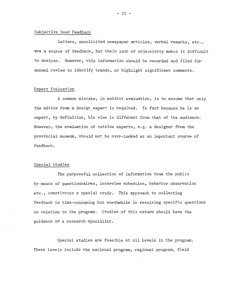#### Subjective User Feedback

Letters, unsolicited newspaper articles, verbal remarks, etc., are a source of feedback, but their lack of objectivity makes it difficult to analyze. However, this information should be recorded and filed for annual review to identify trends, or highlight significant comments.

#### Expert Evaluation

A common mistake, in exhibit evaluation, is to assume that only the advice from a design expert is required. In fact because he is an expert, by definition, his view is different from that of the audience. However, the evaluation of outside experts, e.g. a designer from the provincial museum, should not be over-looked as an important source of feedback.

#### Special Studies

The purposeful collection of information from the public by means of questionnaires, interview schedules, behavior observation etc., constitutes a special study. This approach to collecting feedback is time-consuming but worthwhile in resolving specific questions in relation to the program. Studies of this nature should have the guidance of a research specialist.

Special studies are feasible at all levels in the program. These levels include the national program, regional program, field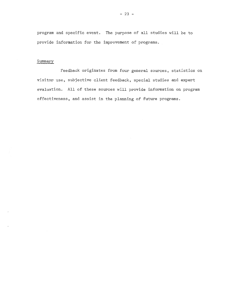program and specific event. The purpose of all studies will be to provide information for the improvement of programs.

#### Summary

Feedback originates from four general sources, statistics on visitor use, subjective client feedback, special studies and expert evaluation. All of these sources will provide information on program effectiveness, and assist in the planning of future programs.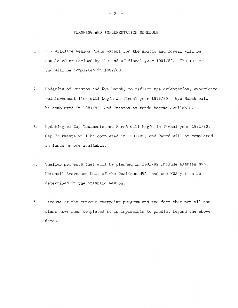#### PLANNING AND IMPLEMENTATION SCHEDULE

- 1. All Wildlife Region Plans except for the Arctic and Boreal will be completed or revised by the end of fiscal year 1981/82. The latter two will be completed in 1982/83.
- 2. Updating of Creston and Wye Marsh, to reflect the orientation, experience reinforcement flow will begin in fiscal year 1979/80. Wye Marsh will be completed in 1981/82, and Creston as funds become available.
- 3. Updating of Cap Tourmente and Percé will begin in fiscal year 1981/82. Cap Tourmente will be completed in 1981/82, and Percé will be completed as funds become available.
- 4. Smaller projects that will be planned in 1981/82 include Alaksen NWA, Marshall Stevenson Unit of the Qualicum NWA, and one NWA yet to be determined in the Atlantic Region.
- 5. Because of the current restraint program and the fact that not all the plans have been completed it is impossible to predict beyond the above dates.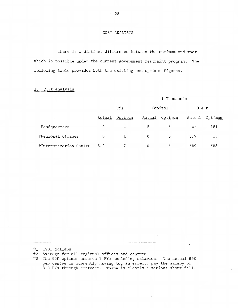#### COST ANALYSIS

There is a distinct difference between the optimum and that which is possible under the current government restraint program. The following table provides both the existing and optimum figures.

#### l. Cost analysis

|                         |                             | \$ Thousands |         |         |          |         |
|-------------------------|-----------------------------|--------------|---------|---------|----------|---------|
|                         | PYs                         |              | Capital |         | & M<br>0 |         |
|                         | Actual                      | Optimum      | Actual  | Optimum | Actual   | Optimum |
| Headquarters            | 2                           | 4            | 5       | 5       | 45       | 151     |
| †Regional Offices       | $\overline{\phantom{0}}\,6$ |              | 0       | 0       | 3.2      | 15      |
| †Interpretation Centres | 3.2                         | 7            | 0       | 5       | *69      | *65     |

~·:1 1981 dollars

t2 Average for all regional offices and centres

The 65K optimum assumes 7 PYs excluding salaries. The actual 69K per centre is currently having to, in effect, pay the salary of 1.8 PYs through contract. There is clearly a serious short fall.

 $\mathbf{r}$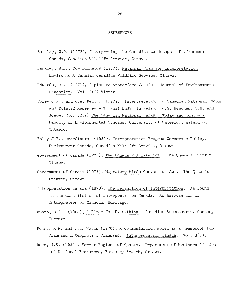#### REFERENCES

- Barkley, W.D. (1973), Interpreting the Canadian Landscape. Environment Canada, Canadian Wildlife Service, Ottawa.
- Barkley, W.D., Co-ordinator (1977), National Plan for Interpretation. Environment Canada, Canadian Wildlife Service, Ottawa.
- Edwards, R.Y. (1971), A plan to Appreciate Canada. Journal of Environmental Education. Vol. 3(2) Winter.
- Foley J.P ., and J.A. Keith. (1979), Interpretation in Canadian National Parks and Related Reserves - To What End? In Nelson, J .G. Needham; S.H. and Scace, R.C. (Eds) The Canadian National Parks: Today and Tomorrow. Faculty of Environmental Studies, University of Waterloo, Waterloo, Ontario.
- Foley J.P., Coordinator (1980), Interpretation Program Corporate Policy. Environment Canada, Canadian Wildlife Service, Ottawa.
- Government of Canada (1973), The Canada Wildlife Act. The Queen's Printer, Ottawa.
- Government of Canada (1978), Migratory Birds Convention Act. The Queen's Printer, Ottawa.
- Interpretation Canada (1978), The Definition of Interpretation. As found in the constitution of Interpretation Canada: An Association of Interpreters of Canadian Heritage.
- Munro, D.A. (1968), A Place for Everything. Canadian Broadcasting Company, Toronto.
- Peart, R.W. and J.G. Woods (1976), A Communication Model as a Framework for Planning Interpretive Planning. Interpretation Canada. Vol. 3(5).
- Rowe, J.S. (1959), Forest Regions of Canada. Department of Northern Affairs and National Resources, Forestry Branch, Ottawa.